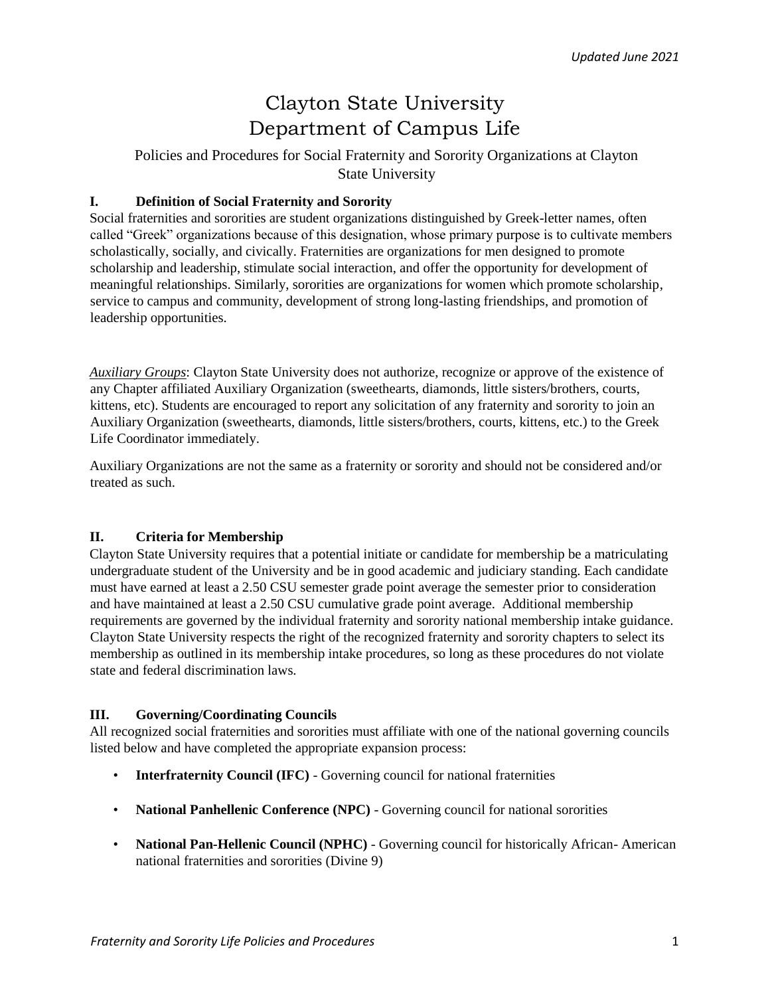# Clayton State University Department of Campus Life

Policies and Procedures for Social Fraternity and Sorority Organizations at Clayton State University

## **I. Definition of Social Fraternity and Sorority**

Social fraternities and sororities are student organizations distinguished by Greek-letter names, often called "Greek" organizations because of this designation, whose primary purpose is to cultivate members scholastically, socially, and civically. Fraternities are organizations for men designed to promote scholarship and leadership, stimulate social interaction, and offer the opportunity for development of meaningful relationships. Similarly, sororities are organizations for women which promote scholarship, service to campus and community, development of strong long-lasting friendships, and promotion of leadership opportunities.

*Auxiliary Groups*: Clayton State University does not authorize, recognize or approve of the existence of any Chapter affiliated Auxiliary Organization (sweethearts, diamonds, little sisters/brothers, courts, kittens, etc). Students are encouraged to report any solicitation of any fraternity and sorority to join an Auxiliary Organization (sweethearts, diamonds, little sisters/brothers, courts, kittens, etc.) to the Greek Life Coordinator immediately.

Auxiliary Organizations are not the same as a fraternity or sorority and should not be considered and/or treated as such.

# **II. Criteria for Membership**

Clayton State University requires that a potential initiate or candidate for membership be a matriculating undergraduate student of the University and be in good academic and judiciary standing. Each candidate must have earned at least a 2.50 CSU semester grade point average the semester prior to consideration and have maintained at least a 2.50 CSU cumulative grade point average. Additional membership requirements are governed by the individual fraternity and sorority national membership intake guidance. Clayton State University respects the right of the recognized fraternity and sorority chapters to select its membership as outlined in its membership intake procedures, so long as these procedures do not violate state and federal discrimination laws.

#### **III. Governing/Coordinating Councils**

All recognized social fraternities and sororities must affiliate with one of the national governing councils listed below and have completed the appropriate expansion process:

- **Interfraternity Council (IFC)** Governing council for national fraternities
- **National Panhellenic Conference (NPC)** Governing council for national sororities
- **National Pan-Hellenic Council (NPHC)** Governing council for historically African- American national fraternities and sororities (Divine 9)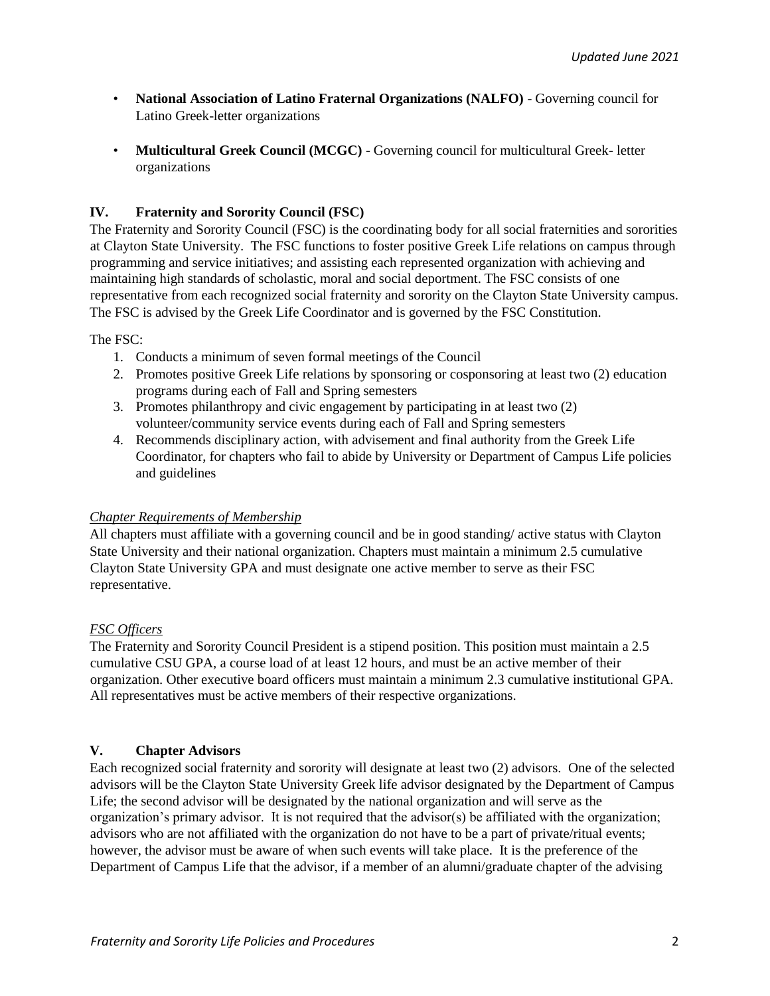- **National Association of Latino Fraternal Organizations (NALFO)** Governing council for Latino Greek-letter organizations
- **Multicultural Greek Council (MCGC)** Governing council for multicultural Greek- letter organizations

# **IV. Fraternity and Sorority Council (FSC)**

The Fraternity and Sorority Council (FSC) is the coordinating body for all social fraternities and sororities at Clayton State University. The FSC functions to foster positive Greek Life relations on campus through programming and service initiatives; and assisting each represented organization with achieving and maintaining high standards of scholastic, moral and social deportment. The FSC consists of one representative from each recognized social fraternity and sorority on the Clayton State University campus. The FSC is advised by the Greek Life Coordinator and is governed by the FSC Constitution.

The FSC:

- 1. Conducts a minimum of seven formal meetings of the Council
- 2. Promotes positive Greek Life relations by sponsoring or cosponsoring at least two (2) education programs during each of Fall and Spring semesters
- 3. Promotes philanthropy and civic engagement by participating in at least two (2) volunteer/community service events during each of Fall and Spring semesters
- 4. Recommends disciplinary action, with advisement and final authority from the Greek Life Coordinator, for chapters who fail to abide by University or Department of Campus Life policies and guidelines

# *Chapter Requirements of Membership*

All chapters must affiliate with a governing council and be in good standing/ active status with Clayton State University and their national organization. Chapters must maintain a minimum 2.5 cumulative Clayton State University GPA and must designate one active member to serve as their FSC representative.

# *FSC Officers*

The Fraternity and Sorority Council President is a stipend position. This position must maintain a 2.5 cumulative CSU GPA, a course load of at least 12 hours, and must be an active member of their organization. Other executive board officers must maintain a minimum 2.3 cumulative institutional GPA. All representatives must be active members of their respective organizations.

# **V. Chapter Advisors**

Each recognized social fraternity and sorority will designate at least two (2) advisors. One of the selected advisors will be the Clayton State University Greek life advisor designated by the Department of Campus Life; the second advisor will be designated by the national organization and will serve as the organization's primary advisor. It is not required that the advisor(s) be affiliated with the organization; advisors who are not affiliated with the organization do not have to be a part of private/ritual events; however, the advisor must be aware of when such events will take place. It is the preference of the Department of Campus Life that the advisor, if a member of an alumni/graduate chapter of the advising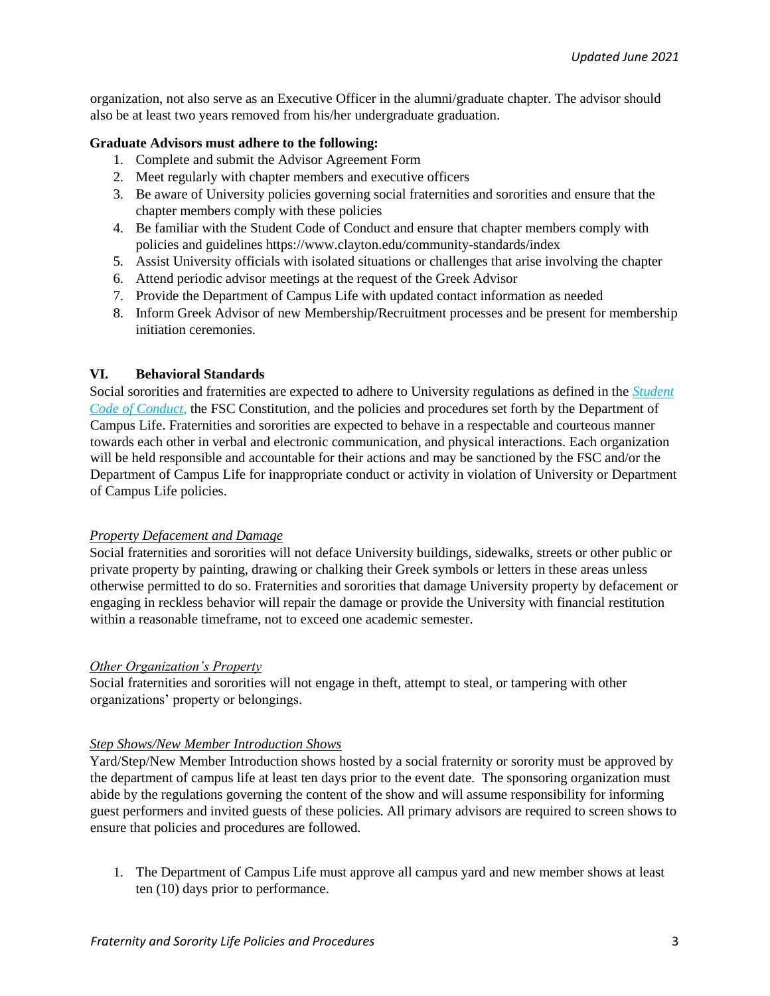organization, not also serve as an Executive Officer in the alumni/graduate chapter. The advisor should also be at least two years removed from his/her undergraduate graduation.

#### **Graduate Advisors must adhere to the following:**

- 1. Complete and submit the Advisor Agreement Form
- 2. Meet regularly with chapter members and executive officers
- 3. Be aware of University policies governing social fraternities and sororities and ensure that the chapter members comply with these policies
- 4. Be familiar with the Student Code of Conduct and ensure that chapter members comply with policies and guidelines https://www.clayton.edu/community-standards/index
- 5. Assist University officials with isolated situations or challenges that arise involving the chapter
- 6. Attend periodic advisor meetings at the request of the Greek Advisor
- 7. Provide the Department of Campus Life with updated contact information as needed
- 8. Inform Greek Advisor of new Membership/Recruitment processes and be present for membership initiation ceremonies.

## **VI. Behavioral Standards**

Social sororities and fraternities are expected to adhere to University regulations as defined in the *[Student](https://www.clayton.edu/community-standards/docs/student-code-of-conduct.pdf) [Code of Conduct](https://www.clayton.edu/community-standards/docs/student-code-of-conduct.pdf)*[,](https://www.clayton.edu/community-standards/docs/student-code-of-conduct.pdf) the FSC Constitution, and the policies and procedures set forth by the Department of Campus Life. Fraternities and sororities are expected to behave in a respectable and courteous manner towards each other in verbal and electronic communication, and physical interactions. Each organization will be held responsible and accountable for their actions and may be sanctioned by the FSC and/or the Department of Campus Life for inappropriate conduct or activity in violation of University or Department of Campus Life policies.

# *Property Defacement and Damage*

Social fraternities and sororities will not deface University buildings, sidewalks, streets or other public or private property by painting, drawing or chalking their Greek symbols or letters in these areas unless otherwise permitted to do so. Fraternities and sororities that damage University property by defacement or engaging in reckless behavior will repair the damage or provide the University with financial restitution within a reasonable timeframe, not to exceed one academic semester.

#### *Other Organization's Property*

Social fraternities and sororities will not engage in theft, attempt to steal, or tampering with other organizations' property or belongings.

#### *Step Shows/New Member Introduction Shows*

Yard/Step/New Member Introduction shows hosted by a social fraternity or sorority must be approved by the department of campus life at least ten days prior to the event date. The sponsoring organization must abide by the regulations governing the content of the show and will assume responsibility for informing guest performers and invited guests of these policies. All primary advisors are required to screen shows to ensure that policies and procedures are followed.

1. The Department of Campus Life must approve all campus yard and new member shows at least ten (10) days prior to performance.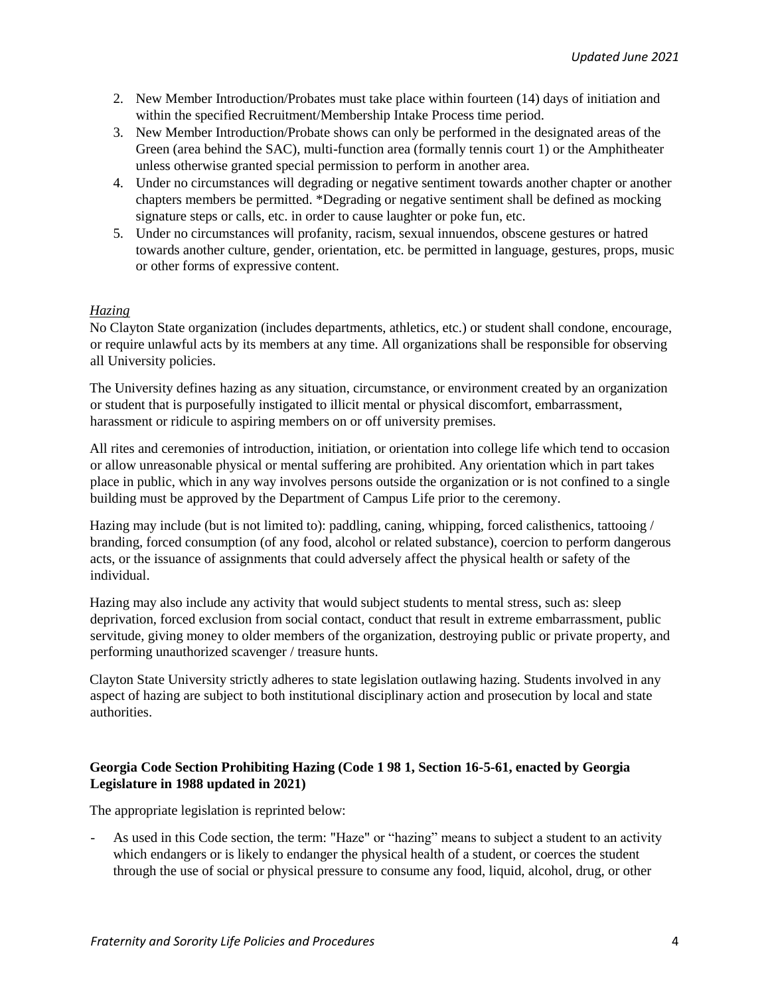- 2. New Member Introduction/Probates must take place within fourteen (14) days of initiation and within the specified Recruitment/Membership Intake Process time period.
- 3. New Member Introduction/Probate shows can only be performed in the designated areas of the Green (area behind the SAC), multi-function area (formally tennis court 1) or the Amphitheater unless otherwise granted special permission to perform in another area.
- 4. Under no circumstances will degrading or negative sentiment towards another chapter or another chapters members be permitted. \*Degrading or negative sentiment shall be defined as mocking signature steps or calls, etc. in order to cause laughter or poke fun, etc.
- 5. Under no circumstances will profanity, racism, sexual innuendos, obscene gestures or hatred towards another culture, gender, orientation, etc. be permitted in language, gestures, props, music or other forms of expressive content.

# *Hazing*

No Clayton State organization (includes departments, athletics, etc.) or student shall condone, encourage, or require unlawful acts by its members at any time. All organizations shall be responsible for observing all University policies.

The University defines hazing as any situation, circumstance, or environment created by an organization or student that is purposefully instigated to illicit mental or physical discomfort, embarrassment, harassment or ridicule to aspiring members on or off university premises.

All rites and ceremonies of introduction, initiation, or orientation into college life which tend to occasion or allow unreasonable physical or mental suffering are prohibited. Any orientation which in part takes place in public, which in any way involves persons outside the organization or is not confined to a single building must be approved by the Department of Campus Life prior to the ceremony.

Hazing may include (but is not limited to): paddling, caning, whipping, forced calisthenics, tattooing / branding, forced consumption (of any food, alcohol or related substance), coercion to perform dangerous acts, or the issuance of assignments that could adversely affect the physical health or safety of the individual.

Hazing may also include any activity that would subject students to mental stress, such as: sleep deprivation, forced exclusion from social contact, conduct that result in extreme embarrassment, public servitude, giving money to older members of the organization, destroying public or private property, and performing unauthorized scavenger / treasure hunts.

Clayton State University strictly adheres to state legislation outlawing hazing. Students involved in any aspect of hazing are subject to both institutional disciplinary action and prosecution by local and state authorities.

# **Georgia Code Section Prohibiting Hazing (Code 1 98 1, Section 16-5-61, enacted by Georgia Legislature in 1988 updated in 2021)**

The appropriate legislation is reprinted below:

- As used in this Code section, the term: "Haze" or "hazing" means to subject a student to an activity which endangers or is likely to endanger the physical health of a student, or coerces the student through the use of social or physical pressure to consume any food, liquid, alcohol, drug, or other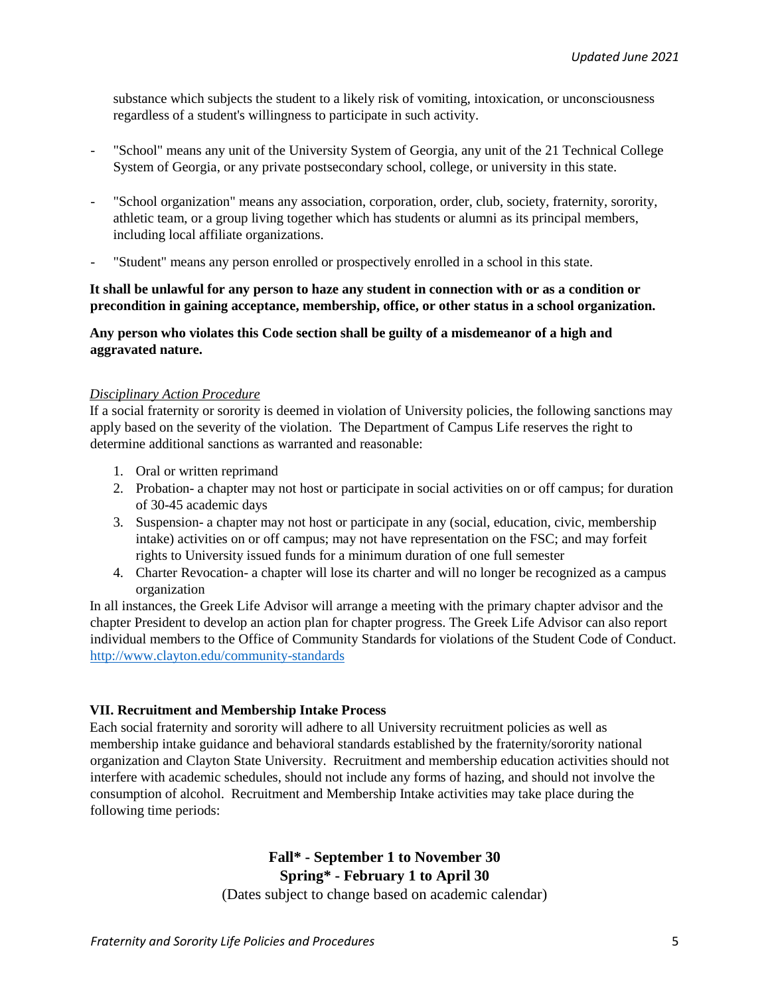substance which subjects the student to a likely risk of vomiting, intoxication, or unconsciousness regardless of a student's willingness to participate in such activity.

- "School" means any unit of the University System of Georgia, any unit of the 21 Technical College System of Georgia, or any private postsecondary school, college, or university in this state.
- "School organization" means any association, corporation, order, club, society, fraternity, sorority, athletic team, or a group living together which has students or alumni as its principal members, including local affiliate organizations.
- "Student" means any person enrolled or prospectively enrolled in a school in this state.

#### **It shall be unlawful for any person to haze any student in connection with or as a condition or precondition in gaining acceptance, membership, office, or other status in a school organization.**

**Any person who violates this Code section shall be guilty of a misdemeanor of a high and aggravated nature.** 

## *Disciplinary Action Procedure*

If a social fraternity or sorority is deemed in violation of University policies, the following sanctions may apply based on the severity of the violation. The Department of Campus Life reserves the right to determine additional sanctions as warranted and reasonable:

- 1. Oral or written reprimand
- 2. Probation- a chapter may not host or participate in social activities on or off campus; for duration of 30-45 academic days
- 3. Suspension- a chapter may not host or participate in any (social, education, civic, membership intake) activities on or off campus; may not have representation on the FSC; and may forfeit rights to University issued funds for a minimum duration of one full semester
- 4. Charter Revocation- a chapter will lose its charter and will no longer be recognized as a campus organization

In all instances, the Greek Life Advisor will arrange a meeting with the primary chapter advisor and the chapter President to develop an action plan for chapter progress. The Greek Life Advisor can also report individual members to the Office of Community Standards for violations of the Student Code of Conduct. <http://www.clayton.edu/community-standards>

# **VII. Recruitment and Membership Intake Process**

Each social fraternity and sorority will adhere to all University recruitment policies as well as membership intake guidance and behavioral standards established by the fraternity/sorority national organization and Clayton State University. Recruitment and membership education activities should not interfere with academic schedules, should not include any forms of hazing, and should not involve the consumption of alcohol. Recruitment and Membership Intake activities may take place during the following time periods:

# **Fall\* - September 1 to November 30 Spring\* - February 1 to April 30**

(Dates subject to change based on academic calendar)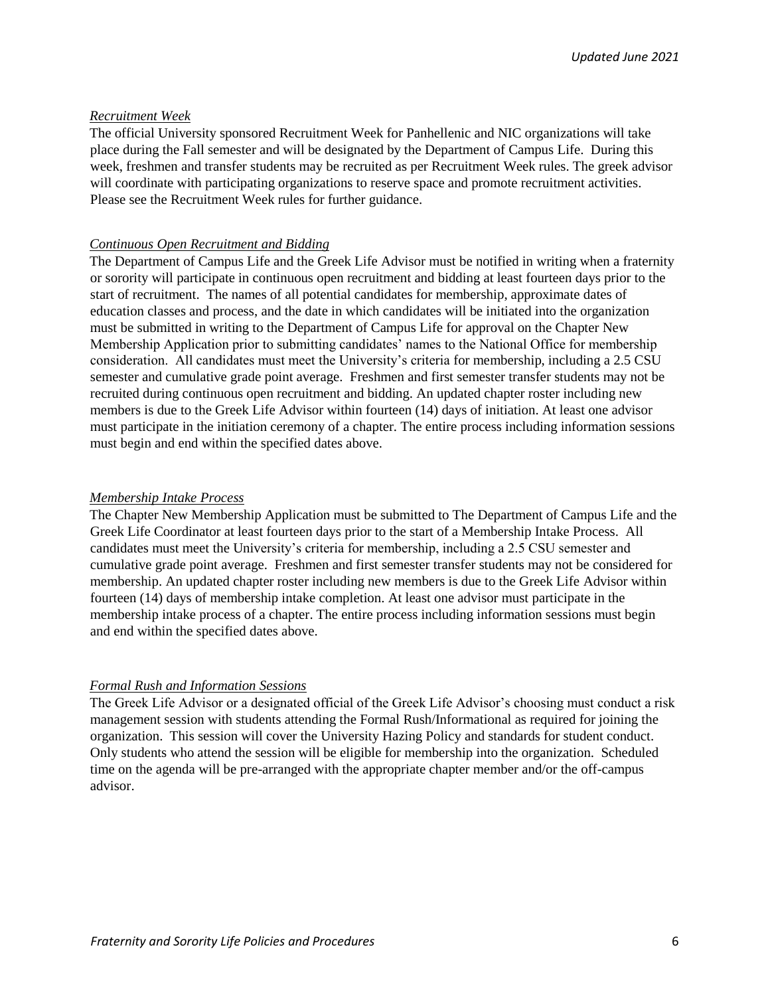#### *Recruitment Week*

The official University sponsored Recruitment Week for Panhellenic and NIC organizations will take place during the Fall semester and will be designated by the Department of Campus Life. During this week, freshmen and transfer students may be recruited as per Recruitment Week rules. The greek advisor will coordinate with participating organizations to reserve space and promote recruitment activities. Please see the Recruitment Week rules for further guidance.

#### *Continuous Open Recruitment and Bidding*

The Department of Campus Life and the Greek Life Advisor must be notified in writing when a fraternity or sorority will participate in continuous open recruitment and bidding at least fourteen days prior to the start of recruitment. The names of all potential candidates for membership, approximate dates of education classes and process, and the date in which candidates will be initiated into the organization must be submitted in writing to the Department of Campus Life for approval on the Chapter New Membership Application prior to submitting candidates' names to the National Office for membership consideration. All candidates must meet the University's criteria for membership, including a 2.5 CSU semester and cumulative grade point average. Freshmen and first semester transfer students may not be recruited during continuous open recruitment and bidding. An updated chapter roster including new members is due to the Greek Life Advisor within fourteen (14) days of initiation. At least one advisor must participate in the initiation ceremony of a chapter. The entire process including information sessions must begin and end within the specified dates above.

#### *Membership Intake Process*

The Chapter New Membership Application must be submitted to The Department of Campus Life and the Greek Life Coordinator at least fourteen days prior to the start of a Membership Intake Process. All candidates must meet the University's criteria for membership, including a 2.5 CSU semester and cumulative grade point average. Freshmen and first semester transfer students may not be considered for membership. An updated chapter roster including new members is due to the Greek Life Advisor within fourteen (14) days of membership intake completion. At least one advisor must participate in the membership intake process of a chapter. The entire process including information sessions must begin and end within the specified dates above.

#### *Formal Rush and Information Sessions*

The Greek Life Advisor or a designated official of the Greek Life Advisor's choosing must conduct a risk management session with students attending the Formal Rush/Informational as required for joining the organization. This session will cover the University Hazing Policy and standards for student conduct. Only students who attend the session will be eligible for membership into the organization. Scheduled time on the agenda will be pre-arranged with the appropriate chapter member and/or the off-campus advisor.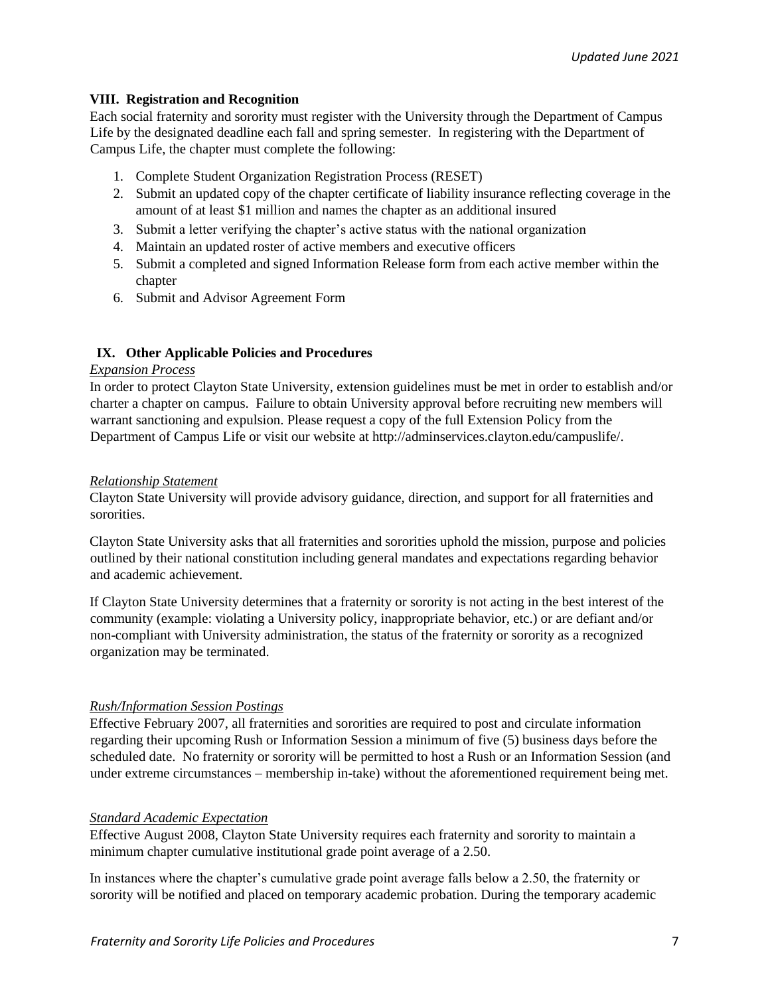## **VIII. Registration and Recognition**

Each social fraternity and sorority must register with the University through the Department of Campus Life by the designated deadline each fall and spring semester. In registering with the Department of Campus Life, the chapter must complete the following:

- 1. Complete Student Organization Registration Process (RESET)
- 2. Submit an updated copy of the chapter certificate of liability insurance reflecting coverage in the amount of at least \$1 million and names the chapter as an additional insured
- 3. Submit a letter verifying the chapter's active status with the national organization
- 4. Maintain an updated roster of active members and executive officers
- 5. Submit a completed and signed Information Release form from each active member within the chapter
- 6. Submit and Advisor Agreement Form

## **IX. Other Applicable Policies and Procedures**

#### *Expansion Process*

In order to protect Clayton State University, extension guidelines must be met in order to establish and/or charter a chapter on campus. Failure to obtain University approval before recruiting new members will warrant sanctioning and expulsion. Please request a copy of the full Extension Policy from the Department of Campus Life or visit our website at http://adminservices.clayton.edu/campuslife/.

#### *Relationship Statement*

Clayton State University will provide advisory guidance, direction, and support for all fraternities and sororities.

Clayton State University asks that all fraternities and sororities uphold the mission, purpose and policies outlined by their national constitution including general mandates and expectations regarding behavior and academic achievement.

If Clayton State University determines that a fraternity or sorority is not acting in the best interest of the community (example: violating a University policy, inappropriate behavior, etc.) or are defiant and/or non-compliant with University administration, the status of the fraternity or sorority as a recognized organization may be terminated.

#### *Rush/Information Session Postings*

Effective February 2007, all fraternities and sororities are required to post and circulate information regarding their upcoming Rush or Information Session a minimum of five (5) business days before the scheduled date. No fraternity or sorority will be permitted to host a Rush or an Information Session (and under extreme circumstances – membership in-take) without the aforementioned requirement being met.

#### *Standard Academic Expectation*

Effective August 2008, Clayton State University requires each fraternity and sorority to maintain a minimum chapter cumulative institutional grade point average of a 2.50.

In instances where the chapter's cumulative grade point average falls below a 2.50, the fraternity or sorority will be notified and placed on temporary academic probation. During the temporary academic